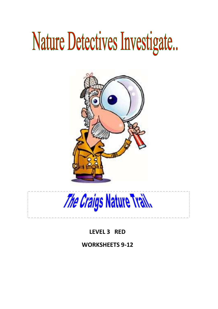# Nature Detectives Investigate...



The Craigs Nature Trail.

**LEVEL 3 RED**

**WORKSHEETS 9-12**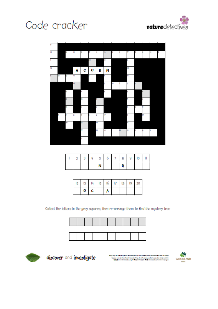





|  |  | N |  | г |  |  |
|--|--|---|--|---|--|--|

| 12 | 13 | 14 | $15 - 16$ | 17. | l8 | 19 |  |
|----|----|----|-----------|-----|----|----|--|
|    | οι | C. | ٨         |     |    |    |  |

Collect the letters in the grey squares, then re-arrange them to find the mystery tree





discover and investigate

leasers made by these News & Velocities Trust, the U.C. Analog consider insurancies should be plated<br>With the consideration of the plate in City and in the plate interaction and consideration in the comput

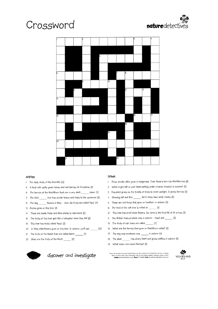# Crossword





#### **ACROSS**

- 1. The tasty fruits of the bramble (12)
- 5. A bush with spiky green leaves and red berries at Christmas (5)
- 6. The berries of the blackthorn bush are a very dark \_\_\_\_\_\_\_\_ colour (4)
- tree has similar leaves and fruits to the sycamore (5) 7. The field
- 9. The dog \_\_\_\_\_\_\_ flowers in May June. Its fruits are called 'hips' (4)
- 12. Acorns grow on this tree (3)
- 14. These are inside fruits and allow plants to reproduce (5)
- 15. The fruits of this tree spin like a helicopter when they fall (8)
- 16. This tree has fruits called 'Keys' (3)
- 20. In May elderflowers grow on this tree. In autumn, you'll see \_\_\_\_\_\_\_\_ (12)
- 21. The fruits of the beech tree are called beech \_\_\_\_\_\_\_ (4)
- 22. Sloes are the fruits of the black \_\_\_\_\_\_\_\_ (5)



### discover and investigate

#### **DOWN**

- 1. These shrubs often grow in hedgerows. Their flowers turn into blackberries (8)
- 2. What might fall on your head walking under a horse chestnut in autumn? (6)
- 3. This plant grows up the trunks of trees to reach sunlight. It grows berries (3)
- 4. Growing tall and thin, \_\_\_\_\_\_ birch trees have white trunks (6)
- 5. These are red fruits that grow on hawthorn in autumn (4)
- 8. The fruit of the oak tree is called an \_\_\_\_\_\_\_\_ (5)
- (0. This tree has small white flowers. Its name is the first bit of 20 across (5)
- II. Two British trees produce nuts in autumn hazel and \_\_\_\_\_\_\_ (5)
- 13. The fruits of ash trees are called \_\_\_\_\_\_\_\_ (4)
- 15. What are the berries that grow on blackthorn called? (5)
- 17. The dog rose produces rose \_\_\_\_\_\_\_ in autumn (4)
- 18. The silver \_\_\_\_\_\_\_ has silvery bark and grows catkins in autumn (5)
- 19. What colour are rowan berries? (3)

Piesae capy and above for person's ent educational use. Move materials can be diverknated inter from use web.<br>Researce mode by Shoun Fision S Weedman Frust, the UK a leading weedmal conservation chanky to 291<br>Website www.

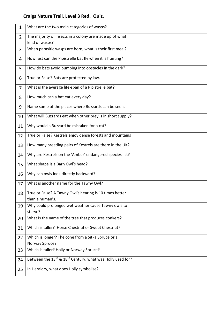## **Craigs Nature Trail. Level 3 Red. Quiz.**

| 1              | What are the two main categories of wasps?                                        |  |
|----------------|-----------------------------------------------------------------------------------|--|
| $\overline{2}$ | The majority of insects in a colony are made up of what<br>kind of wasps?         |  |
| 3              | When parasitic wasps are born, what is their first meal?                          |  |
| 4              | How fast can the Pipistrelle bat fly when it is hunting?                          |  |
| 5              | How do bats avoid bumping into obstacles in the dark?                             |  |
| 6              | True or False? Bats are protected by law.                                         |  |
| $\overline{7}$ | What is the average life-span of a Pipistrelle bat?                               |  |
| 8              | How much can a bat eat every day?                                                 |  |
| 9              | Name some of the places where Buzzards can be seen.                               |  |
| 10             | What will Buzzards eat when other prey is in short supply?                        |  |
| 11             | Why would a Buzzard be mistaken for a cat?                                        |  |
| 12             | True or False? Kestrels enjoy dense forests and mountains                         |  |
| 13             | How many breeding pairs of Kestrels are there in the UK?                          |  |
| 14             | Why are Kestrels on the 'Amber' endangered species list?                          |  |
| 15             | What shape is a Barn Owl's head?                                                  |  |
| 16             | Why can owls look directly backward?                                              |  |
| 17             | What is another name for the Tawny Owl?                                           |  |
| 18             | True or False? A Tawny Owl's hearing is 10 times better<br>than a human's.        |  |
| 19             | Why could prolonged wet weather cause Tawny owls to<br>starve?                    |  |
| 20             | What is the name of the tree that produces conkers?                               |  |
| 21             | Which is taller? Horse Chestnut or Sweet Chestnut?                                |  |
| 22             | Which is longer? The cone from a Sitka Spruce or a<br>Norway Spruce?              |  |
| 23             | Which is taller? Holly or Norway Spruce?                                          |  |
| 24             | Between the 13 <sup>th</sup> & 18 <sup>th</sup> Century, what was Holly used for? |  |
| 25             | In Heraldry, what does Holly symbolise?                                           |  |